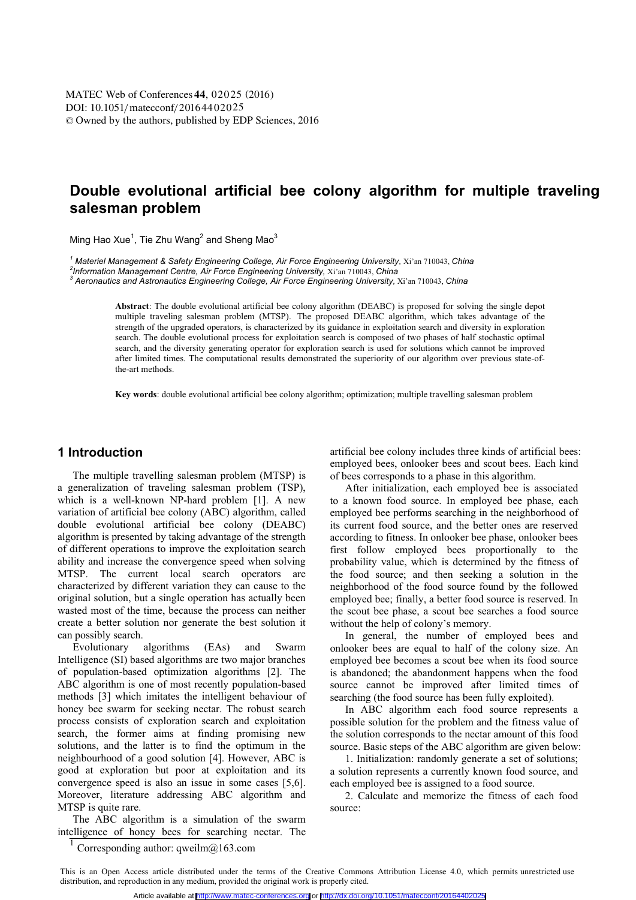# **Double evolutional artificial bee colony algorithm for multiple traveling salesman problem**

Ming Hao Xue<sup>1</sup>, Tie Zhu Wang<sup>2</sup> and Sheng Mao<sup>3</sup>

<sup>1</sup> Materiel Management & Safety Engineering College, Air Force Engineering University, Xi'an 710043, China <sup>2</sup><br><sup>2</sup>Information Management Centre, Air Force Engineering University, Xi'an 710043, China

*Information Management Centre, Air Force Engineering University,* Xi'an 710043, *China 3*

 *Aeronautics and Astronautics Engineering College, Air Force Engineering University,* Xi'an 710043, *China* 

**Abstract**: The double evolutional artificial bee colony algorithm (DEABC) is proposed for solving the single depot multiple traveling salesman problem (MTSP). The proposed DEABC algorithm, which takes advantage of the strength of the upgraded operators, is characterized by its guidance in exploitation search and diversity in exploration search. The double evolutional process for exploitation search is composed of two phases of half stochastic optimal search, and the diversity generating operator for exploration search is used for solutions which cannot be improved after limited times. The computational results demonstrated the superiority of our algorithm over previous state-ofthe-art methods.

**Key words**: double evolutional artificial bee colony algorithm; optimization; multiple travelling salesman problem

### **1 Introduction**

The multiple travelling salesman problem (MTSP) is a generalization of traveling salesman problem (TSP), which is a well-known NP-hard problem [1]. A new variation of artificial bee colony (ABC) algorithm, called double evolutional artificial bee colony (DEABC) algorithm is presented by taking advantage of the strength of different operations to improve the exploitation search ability and increase the convergence speed when solving MTSP. The current local search operators are characterized by different variation they can cause to the original solution, but a single operation has actually been wasted most of the time, because the process can neither create a better solution nor generate the best solution it can possibly search.

Evolutionary algorithms (EAs) and Swarm Intelligence (SI) based algorithms are two major branches of population-based optimization algorithms [2]. The ABC algorithm is one of most recently population-based methods [3] which imitates the intelligent behaviour of honey bee swarm for seeking nectar. The robust search process consists of exploration search and exploitation search, the former aims at finding promising new solutions, and the latter is to find the optimum in the neighbourhood of a good solution [4]. However, ABC is good at exploration but poor at exploitation and its convergence speed is also an issue in some cases [5,6]. Moreover, literature addressing ABC algorithm and MTSP is quite rare.

The ABC algorithm is a simulation of the swarm intelligence of honey bees for searching nectar. The artificial bee colony includes three kinds of artificial bees: employed bees, onlooker bees and scout bees. Each kind of bees corresponds to a phase in this algorithm.

After initialization, each employed bee is associated to a known food source. In employed bee phase, each employed bee performs searching in the neighborhood of its current food source, and the better ones are reserved according to fitness. In onlooker bee phase, onlooker bees first follow employed bees proportionally to the probability value, which is determined by the fitness of the food source; and then seeking a solution in the neighborhood of the food source found by the followed employed bee; finally, a better food source is reserved. In the scout bee phase, a scout bee searches a food source without the help of colony's memory.

In general, the number of employed bees and onlooker bees are equal to half of the colony size. An employed bee becomes a scout bee when its food source is abandoned; the abandonment happens when the food source cannot be improved after limited times of searching (the food source has been fully exploited).

In ABC algorithm each food source represents a possible solution for the problem and the fitness value of the solution corresponds to the nectar amount of this food source. Basic steps of the ABC algorithm are given below:

1. Initialization: randomly generate a set of solutions; a solution represents a currently known food source, and each employed bee is assigned to a food source.

2. Calculate and memorize the fitness of each food source:

Corresponding author:  $qweilm@163.com$ 

This is an Open Access article distributed under the terms of the Creative Commons Attribution License 4.0, which permits unrestricted use distribution, and reproduction in any medium, provided the original work is properly cited.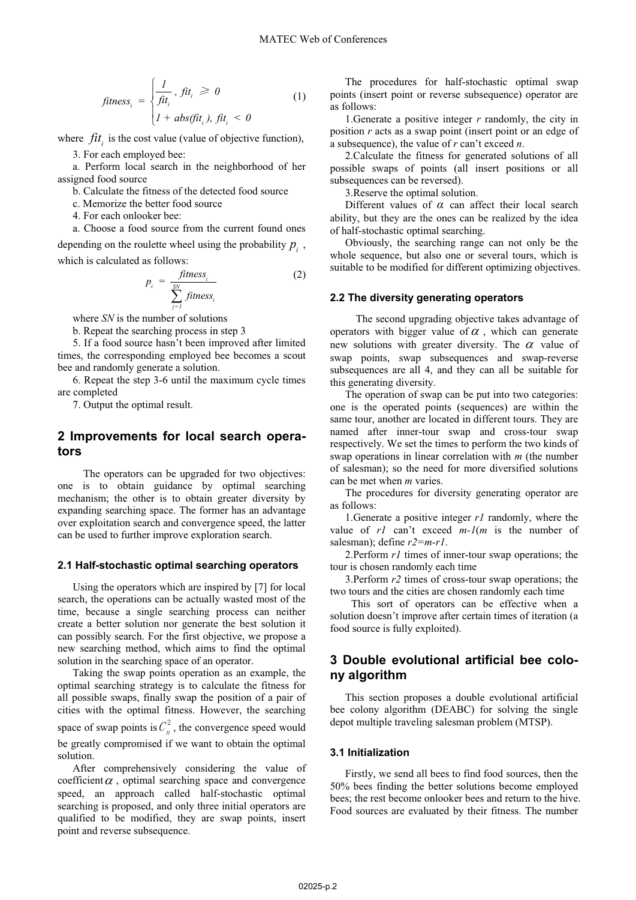$$
fitness_i = \begin{cases} \frac{1}{fit_i}, fit_i \ge 0\\ 1 + abs-fit_i), fit_i < 0 \end{cases}
$$
 (1)

where  $fit$  is the cost value (value of objective function),

3. For each employed bee:

a. Perform local search in the neighborhood of her assigned food source

b. Calculate the fitness of the detected food source

c. Memorize the better food source

4. For each onlooker bee:

a. Choose a food source from the current found ones

depending on the roulette wheel using the probability  $p_i$ , which is calculated as follows:

$$
p_i = \frac{fitness_i}{\sum_{i=1}^{SN} fitness_i}
$$
 (2)

where *SN* is the number of solutions

b. Repeat the searching process in step 3

5. If a food source hasn't been improved after limited times, the corresponding employed bee becomes a scout bee and randomly generate a solution.

6. Repeat the step 3-6 until the maximum cycle times are completed

7. Output the optimal result.

### **2 Improvements for local search operators**

The operators can be upgraded for two objectives: one is to obtain guidance by optimal searching mechanism; the other is to obtain greater diversity by expanding searching space. The former has an advantage over exploitation search and convergence speed, the latter can be used to further improve exploration search.

#### **2.1 Half-stochastic optimal searching operators**

Using the operators which are inspired by [7] for local search, the operations can be actually wasted most of the time, because a single searching process can neither create a better solution nor generate the best solution it can possibly search. For the first objective, we propose a new searching method, which aims to find the optimal solution in the searching space of an operator.

Taking the swap points operation as an example, the optimal searching strategy is to calculate the fitness for all possible swaps, finally swap the position of a pair of cities with the optimal fitness. However, the searching space of swap points is  $C_n^2$ , the convergence speed would be greatly compromised if we want to obtain the optimal solution.

After comprehensively considering the value of coefficient  $\alpha$ , optimal searching space and convergence speed, an approach called half-stochastic optimal searching is proposed, and only three initial operators are qualified to be modified, they are swap points, insert point and reverse subsequence.

The procedures for half-stochastic optimal swap points (insert point or reverse subsequence) operator are as follows:

1.Generate a positive integer *r* randomly, the city in position *r* acts as a swap point (insert point or an edge of a subsequence), the value of *r* can't exceed *n*.

2.Calculate the fitness for generated solutions of all possible swaps of points (all insert positions or all subsequences can be reversed).

3.Reserve the optimal solution.

Different values of  $\alpha$  can affect their local search ability, but they are the ones can be realized by the idea of half-stochastic optimal searching.

Obviously, the searching range can not only be the whole sequence, but also one or several tours, which is suitable to be modified for different optimizing objectives.

#### **2.2 The diversity generating operators**

The second upgrading objective takes advantage of operators with bigger value of  $\alpha$ , which can generate new solutions with greater diversity. The  $\alpha$  value of swap points, swap subsequences and swap-reverse subsequences are all 4, and they can all be suitable for this generating diversity.

The operation of swap can be put into two categories: one is the operated points (sequences) are within the same tour, another are located in different tours. They are named after inner-tour swap and cross-tour swap respectively. We set the times to perform the two kinds of swap operations in linear correlation with *m* (the number of salesman); so the need for more diversified solutions can be met when *m* varies.

The procedures for diversity generating operator are as follows:

1.Generate a positive integer *r1* randomly, where the value of *r1* can't exceed *m-1*(*m* is the number of salesman); define *r2=m-r1*.

2.Perform *r1* times of inner-tour swap operations; the tour is chosen randomly each time

3.Perform *r2* times of cross-tour swap operations; the two tours and the cities are chosen randomly each time

This sort of operators can be effective when a solution doesn't improve after certain times of iteration (a food source is fully exploited).

# **3 Double evolutional artificial bee colony algorithm**

This section proposes a double evolutional artificial bee colony algorithm (DEABC) for solving the single depot multiple traveling salesman problem (MTSP).

#### **3.1 Initialization**

Firstly, we send all bees to find food sources, then the 50% bees finding the better solutions become employed bees; the rest become onlooker bees and return to the hive. Food sources are evaluated by their fitness. The number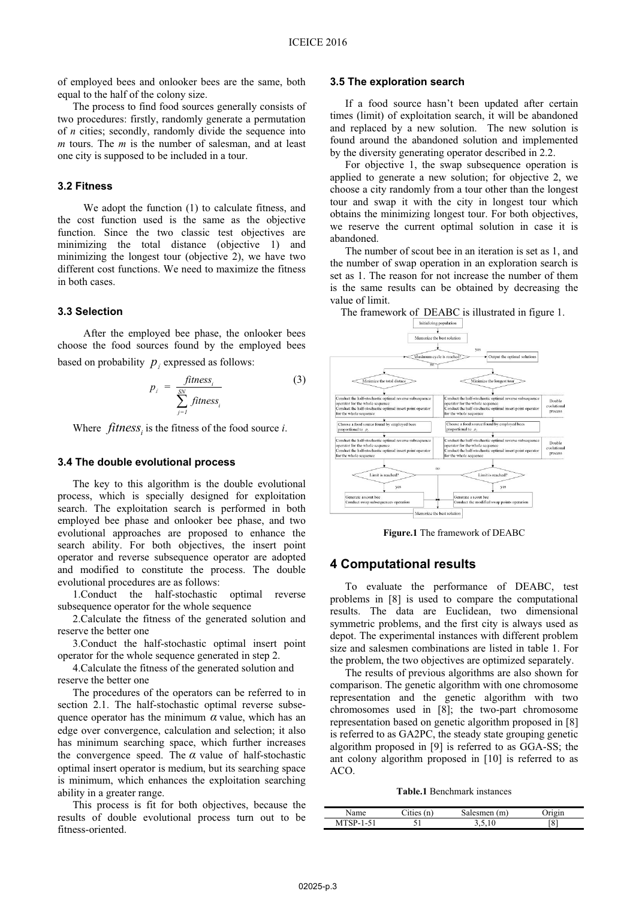of employed bees and onlooker bees are the same, both equal to the half of the colony size.

The process to find food sources generally consists of two procedures: firstly, randomly generate a permutation of *n* cities; secondly, randomly divide the sequence into *m* tours. The *m* is the number of salesman, and at least one city is supposed to be included in a tour.

#### **3.2 Fitness**

We adopt the function (1) to calculate fitness, and the cost function used is the same as the objective function. Since the two classic test objectives are minimizing the total distance (objective 1) and minimizing the longest tour (objective 2), we have two different cost functions. We need to maximize the fitness in both cases.

#### **3.3 Selection**

After the employed bee phase, the onlooker bees choose the food sources found by the employed bees based on probability  $p_i$  expressed as follows:

$$
p_i = \frac{fitness_i}{\sum_{i=1}^{SN} fitness_i}
$$
 (3)

Where *fitness* is the fitness of the food source *i*.

#### **3.4 The double evolutional process**

The key to this algorithm is the double evolutional process, which is specially designed for exploitation search. The exploitation search is performed in both employed bee phase and onlooker bee phase, and two evolutional approaches are proposed to enhance the search ability. For both objectives, the insert point operator and reverse subsequence operator are adopted and modified to constitute the process. The double evolutional procedures are as follows:

1.Conduct the half-stochastic optimal reverse subsequence operator for the whole sequence

2.Calculate the fitness of the generated solution and reserve the better one

3.Conduct the half-stochastic optimal insert point operator for the whole sequence generated in step 2.

4.Calculate the fitness of the generated solution and reserve the better one

The procedures of the operators can be referred to in section 2.1. The half-stochastic optimal reverse subsequence operator has the minimum  $\alpha$  value, which has an edge over convergence, calculation and selection; it also has minimum searching space, which further increases the convergence speed. The  $\alpha$  value of half-stochastic optimal insert operator is medium, but its searching space is minimum, which enhances the exploitation searching ability in a greater range.

This process is fit for both objectives, because the results of double evolutional process turn out to be fitness-oriented.

#### **3.5 The exploration search**

If a food source hasn't been updated after certain times (limit) of exploitation search, it will be abandoned and replaced by a new solution. The new solution is found around the abandoned solution and implemented by the diversity generating operator described in 2.2.

For objective 1, the swap subsequence operation is applied to generate a new solution; for objective 2, we choose a city randomly from a tour other than the longest tour and swap it with the city in longest tour which obtains the minimizing longest tour. For both objectives, we reserve the current optimal solution in case it is abandoned.

The number of scout bee in an iteration is set as 1, and the number of swap operation in an exploration search is set as 1. The reason for not increase the number of them is the same results can be obtained by decreasing the value of limit.



**Figure.1** The framework of DEABC

### **4 Computational results**

To evaluate the performance of DEABC, test problems in [8] is used to compare the computational results. The data are Euclidean, two dimensional symmetric problems, and the first city is always used as depot. The experimental instances with different problem size and salesmen combinations are listed in table 1. For the problem, the two objectives are optimized separately.

The results of previous algorithms are also shown for comparison. The genetic algorithm with one chromosome representation and the genetic algorithm with two chromosomes used in [8]; the two-part chromosome representation based on genetic algorithm proposed in [8] is referred to as GA2PC, the steady state grouping genetic algorithm proposed in [9] is referred to as GGA-SS; the ant colony algorithm proposed in [10] is referred to as ACO.

**Table.1** Benchmark instances

|           | 100c<br><b>UNIUS</b><br>. | (m)<br>smen |  |
|-----------|---------------------------|-------------|--|
| МT<br>--- |                           |             |  |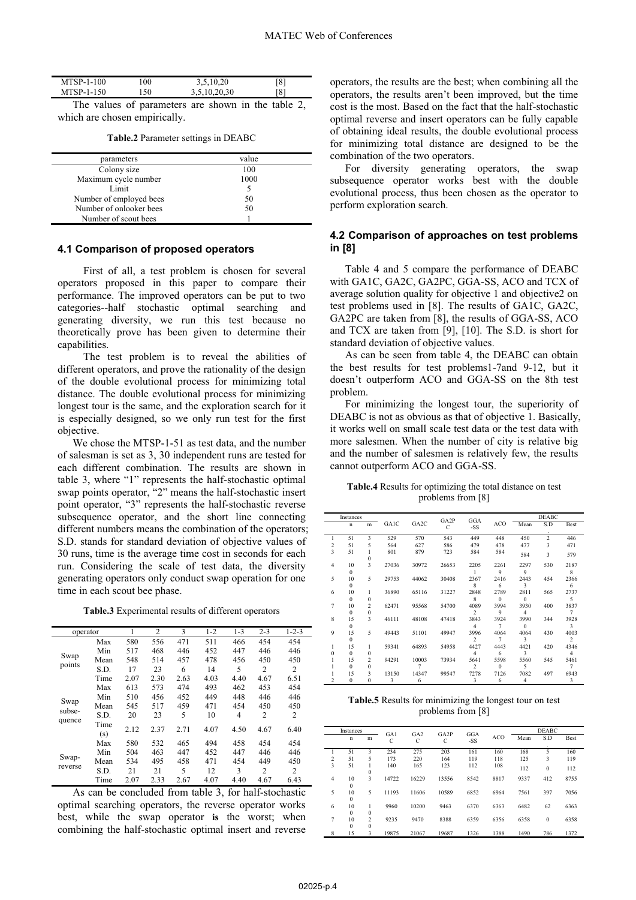| <b>MTSP-1-100</b> | 00 | 3,5,10,20    | 81  |
|-------------------|----|--------------|-----|
| MTSP-1-150        | 50 | 3,5,10,20,30 | 181 |

The values of parameters are shown in the table 2, which are chosen empirically.

**Table.2** Parameter settings in DEABC

| parameters              | value |  |
|-------------------------|-------|--|
| Colony size             | 100   |  |
| Maximum cycle number    | 1000  |  |
| Limit                   |       |  |
| Number of employed bees | 50    |  |
| Number of onlooker bees | 50    |  |
| Number of scout bees    |       |  |

#### **4.1 Comparison of proposed operators**

First of all, a test problem is chosen for several operators proposed in this paper to compare their performance. The improved operators can be put to two categories--half stochastic optimal searching and generating diversity, we run this test because no theoretically prove has been given to determine their capabilities.

The test problem is to reveal the abilities of different operators, and prove the rationality of the design of the double evolutional process for minimizing total distance. The double evolutional process for minimizing longest tour is the same, and the exploration search for it is especially designed, so we only run test for the first objective.

We chose the MTSP-1-51 as test data, and the number of salesman is set as 3, 30 independent runs are tested for each different combination. The results are shown in table 3, where "1" represents the half-stochastic optimal swap points operator, "2" means the half-stochastic insert point operator, "3" represents the half-stochastic reverse subsequence operator, and the short line connecting different numbers means the combination of the operators; S.D. stands for standard deviation of objective values of 30 runs, time is the average time cost in seconds for each run. Considering the scale of test data, the diversity generating operators only conduct swap operation for one time in each scout bee phase.

**Table.3** Experimental results of different operators

| operator         |             | 1    | $\overline{c}$ | 3    | $1 - 2$ | $1 - 3$ | $2 - 3$        | $1 - 2 - 3$ |
|------------------|-------------|------|----------------|------|---------|---------|----------------|-------------|
|                  | Max         | 580  | 556            | 471  | 511     | 466     | 454            | 454         |
|                  | Min         | 517  | 468            | 446  | 452     | 447     | 446            | 446         |
| Swap<br>points   | Mean        | 548  | 514            | 457  | 478     | 456     | 450            | 450         |
|                  | S.D.        | 17   | 23             | 6    | 14      | 5       | 2              | 2           |
|                  | Time        | 2.07 | 2.30           | 2.63 | 4.03    | 4.40    | 4.67           | 6.51        |
|                  | Max         | 613  | 573            | 474  | 493     | 462     | 453            | 454         |
|                  | Min         | 510  | 456            | 452  | 449     | 448     | 446            | 446         |
| Swap             | Mean        | 545  | 517            | 459  | 471     | 454     | 450            | 450         |
| subse-<br>quence | S.D.        | 20   | 23             | 5    | 10      | 4       | 2              | 2           |
|                  | Time<br>(s) | 2.12 | 2.37           | 2.71 | 4.07    | 4.50    | 4.67           | 6.40        |
|                  | Max         | 580  | 532            | 465  | 494     | 458     | 454            | 454         |
| Swap-            | Min         | 504  | 463            | 447  | 452     | 447     | 446            | 446         |
|                  | Mean        | 534  | 495            | 458  | 471     | 454     | 449            | 450         |
| reverse          | S.D.        | 21   | 21             | 5    | 12      | 3       | $\overline{2}$ | 2           |
|                  | Time        | 2.07 | 2.33           | 2.67 | 4.07    | 4.40    | 4.67           | 6.43        |

As can be concluded from table 3, for half-stochastic optimal searching operators, the reverse operator works best, while the swap operator **is** the worst; when combining the half-stochastic optimal insert and reverse

operators, the results are the best; when combining all the operators, the results aren't been improved, but the time cost is the most. Based on the fact that the half-stochastic optimal reverse and insert operators can be fully capable of obtaining ideal results, the double evolutional process for minimizing total distance are designed to be the combination of the two operators.

For diversity generating operators, the swap subsequence operator works best with the double evolutional process, thus been chosen as the operator to perform exploration search.

### **4.2 Comparison of approaches on test problems in [8]**

Table 4 and 5 compare the performance of DEABC with GA1C, GA2C, GA2PC, GGA-SS, ACO and TCX of average solution quality for objective 1 and objective2 on test problems used in [8]. The results of GA1C, GA2C, GA2PC are taken from [8], the results of GGA-SS, ACO and TCX are taken from [9], [10]. The S.D. is short for standard deviation of objective values.

As can be seen from table 4, the DEABC can obtain the best results for test problems1-7and 9-12, but it doesn't outperform ACO and GGA-SS on the 8th test problem.

For minimizing the longest tour, the superiority of DEABC is not as obvious as that of objective 1. Basically, it works well on small scale test data or the test data with more salesmen. When the number of city is relative big and the number of salesmen is relatively few, the results cannot outperform ACO and GGA-SS.

**Table.4** Results for optimizing the total distance on test problems from [8]

|                | Instances      |                |       |                   |           |                        |                  |                        | <b>DEABC</b>   |                |
|----------------|----------------|----------------|-------|-------------------|-----------|------------------------|------------------|------------------------|----------------|----------------|
|                | $\mathbf n$    | m              | GA1C  | GA <sub>2</sub> C | GA2P<br>C | GGA<br>-SS             | ACO              | Mean                   | S.D            | Best           |
| 1              | 51             | 3              | 529   | 570               | 543       | 449                    | 448              | 450                    | $\overline{c}$ | 446            |
| $\overline{c}$ | 51             | 5              | 564   | 627               | 586       | 479                    | 478              | 477                    | 3              | 471            |
| 3              | 51             | $\Omega$       | 801   | 879               | 723       | 584                    | 584              | 584                    | 3              | 579            |
| $\overline{4}$ | 10<br>$\Omega$ | 3              | 27036 | 30972             | 26653     | 2205                   | 2261<br>9        | 2297<br>9              | 530            | 2187<br>8      |
| 5              | 10<br>$\Omega$ | 5              | 29753 | 44062             | 30408     | 2367<br>8              | 2416<br>6        | 2443<br>3              | 454            | 2366<br>6      |
| 6              | 10<br>$\Omega$ | 1<br>$\Omega$  | 36890 | 65116             | 31227     | 2848<br>8              | 2789<br>$\Omega$ | 2811<br>$\Omega$       | 565            | 2737<br>5      |
| 7              | 10<br>$\Omega$ | 2<br>$\Omega$  | 62471 | 95568             | 54700     | 4089<br>$\overline{2}$ | 3994<br>9        | 3930<br>$\overline{4}$ | 400            | 3837<br>7      |
| 8              | 15<br>$\Omega$ | 3              | 46111 | 48108             | 47418     | 3843<br>$\overline{4}$ | 3924<br>7        | 3990<br>$\Omega$       | 344            | 3928<br>3      |
| 9              | 15<br>$\Omega$ | 5              | 49443 | 51101             | 49947     | 3996<br>2              | 4064<br>7        | 4064<br>3              | 430            | 4003<br>2      |
| 1              | 15             | 1              | 59341 | 64893             | 54958     | 4427                   | 4443             | 4421                   | 420            | 4346           |
| $\theta$       | $\Omega$       | $\Omega$       |       |                   |           | $\overline{4}$         | 6                | 3                      |                | $\overline{4}$ |
|                | 15             | $\overline{c}$ | 94291 | 10003             | 73934     | 5641                   | 5598             | 5560                   | 545            | 5461           |
|                | $\Omega$       | $\Omega$       |       | $\overline{7}$    |           | $\overline{2}$         | $\Omega$         | 5                      |                | $\tau$         |
|                | 15             | 3              | 13150 | 14347             | 99547     | 7278                   | 7126             | 7082                   | 497            | 6943           |
| $\overline{c}$ | $\bf{0}$       | $\bf{0}$       | 3     | 6                 |           | 3                      | 6                | $\overline{4}$         |                | 3              |

**Table.5** Results for minimizing the longest tour on test problems from [8]

| Instances      |                                | GA <sub>2</sub><br>GGA<br>GA1<br>GA2P |       |       |             |      | <b>DEABC</b> |      |          |      |
|----------------|--------------------------------|---------------------------------------|-------|-------|-------------|------|--------------|------|----------|------|
|                | $\mathbf n$                    | m                                     | C     | C     | $\mathbf C$ | -SS  | ACO          | Mean | S.D      | Best |
|                | 51                             | 3                                     | 234   | 275   | 203         | 161  | 160          | 168  | 5        | 160  |
| $\overline{c}$ | 51                             | 5                                     | 173   | 220   | 164         | 119  | 118          | 125  | 3        | 119  |
| 3              | 51                             | 0                                     | 140   | 165   | 123         | 112  | 108          | 112  | $\theta$ | 112  |
| $\overline{4}$ | 10                             | 3                                     | 14722 | 16229 | 13556       | 8542 | 8817         | 9337 | 412      | 8755 |
| 5              | $\mathbf{0}$<br>10<br>$\Omega$ | 5                                     | 11193 | 11606 | 10589       | 6852 | 6964         | 7561 | 397      | 7056 |
| 6              | 10<br>$\Omega$                 | $\Omega$                              | 9960  | 10200 | 9463        | 6370 | 6363         | 6482 | 62       | 6363 |
| 7              | 10                             | $\overline{\mathbf{c}}$               | 9235  | 9470  | 8388        | 6359 | 6356         | 6358 | $\theta$ | 6358 |
| 8              | $\Omega$<br>15                 | $\Omega$<br>3                         | 19875 | 21067 | 19687       | 1326 | 1388         | 1490 | 786      | 1372 |